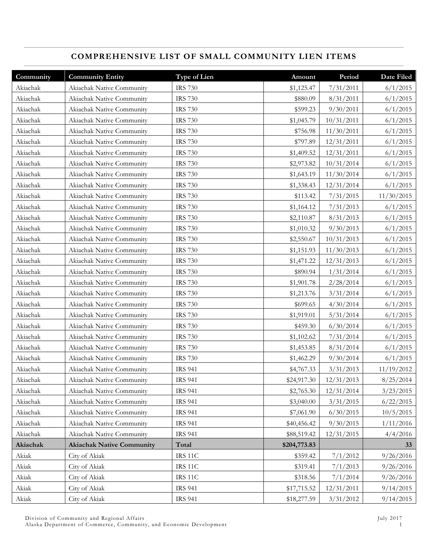# **COMPREHENSIVE LIST OF SMALL COMMUNITY LIEN ITEMS**

| Community | <b>Community Entity</b>          | Type of Lien   | Amount       | Period     | Date Filed |
|-----------|----------------------------------|----------------|--------------|------------|------------|
| Akiachak  | Akiachak Native Community        | <b>IRS 730</b> | \$1,125.47   | 7/31/2011  | 6/1/2015   |
| Akiachak  | Akiachak Native Community        | <b>IRS 730</b> | \$880.09     | 8/31/2011  | 6/1/2015   |
| Akiachak  | Akiachak Native Community        | <b>IRS 730</b> | \$599.23     | 9/30/2011  | 6/1/2015   |
| Akiachak  | Akiachak Native Community        | <b>IRS 730</b> | \$1,045.79   | 10/31/2011 | 6/1/2015   |
| Akiachak  | Akiachak Native Community        | <b>IRS 730</b> | \$756.98     | 11/30/2011 | 6/1/2015   |
| Akiachak  | Akiachak Native Community        | <b>IRS 730</b> | \$797.89     | 12/31/2011 | 6/1/2015   |
| Akiachak  | Akiachak Native Community        | <b>IRS 730</b> | \$1,409.52   | 12/31/2011 | 6/1/2015   |
| Akiachak  | Akiachak Native Community        | <b>IRS 730</b> | \$2,973.82   | 10/31/2014 | 6/1/2015   |
| Akiachak  | Akiachak Native Community        | <b>IRS 730</b> | \$1,643.19   | 11/30/2014 | 6/1/2015   |
| Akiachak  | Akiachak Native Community        | <b>IRS 730</b> | \$1,338.43   | 12/31/2014 | 6/1/2015   |
| Akiachak  | Akiachak Native Community        | <b>IRS 730</b> | \$113.42     | 7/31/2015  | 11/30/2015 |
| Akiachak  | Akiachak Native Community        | <b>IRS 730</b> | \$1,164.12   | 7/31/2013  | 6/1/2015   |
| Akiachak  | Akiachak Native Community        | <b>IRS 730</b> | \$2,110.87   | 8/31/2013  | 6/1/2015   |
| Akiachak  | Akiachak Native Community        | <b>IRS 730</b> | \$1,010.32   | 9/30/2013  | 6/1/2015   |
| Akiachak  | Akiachak Native Community        | <b>IRS 730</b> | \$2,550.67   | 10/31/2013 | 6/1/2015   |
| Akiachak  | Akiachak Native Community        | <b>IRS 730</b> | \$1,151.93   | 11/30/2013 | 6/1/2015   |
| Akiachak  | Akiachak Native Community        | <b>IRS 730</b> | \$1,471.22   | 12/31/2013 | 6/1/2015   |
| Akiachak  | Akiachak Native Community        | <b>IRS 730</b> | \$890.94     | 1/31/2014  | 6/1/2015   |
| Akiachak  | Akiachak Native Community        | <b>IRS 730</b> | \$1,901.78   | 2/28/2014  | 6/1/2015   |
| Akiachak  | Akiachak Native Community        | <b>IRS 730</b> | \$1,213.76   | 3/31/2014  | 6/1/2015   |
| Akiachak  | Akiachak Native Community        | <b>IRS 730</b> | \$699.65     | 4/30/2014  | 6/1/2015   |
| Akiachak  | Akiachak Native Community        | <b>IRS 730</b> | \$1,919.01   | 5/31/2014  | 6/1/2015   |
| Akiachak  | Akiachak Native Community        | <b>IRS 730</b> | \$459.30     | 6/30/2014  | 6/1/2015   |
| Akiachak  | Akiachak Native Community        | <b>IRS 730</b> | \$1,102.62   | 7/31/2014  | 6/1/2015   |
| Akiachak  | Akiachak Native Community        | <b>IRS 730</b> | \$1,453.85   | 8/31/2014  | 6/1/2015   |
| Akiachak  | Akiachak Native Community        | <b>IRS 730</b> | \$1,462.29   | 9/30/2014  | 6/1/2015   |
| Akiachak  | Akiachak Native Community        | <b>IRS 941</b> | \$4,767.33   | 3/31/2013  | 11/19/2012 |
| Akiachak  | Akiachak Native Community        | <b>IRS 941</b> | \$24,917.30  | 12/31/2013 | 8/25/2014  |
| Akiachak  | Akiachak Native Community        | <b>IRS 941</b> | \$2,765.30   | 12/31/2014 | 3/23/2015  |
| Akiachak  | Akiachak Native Community        | <b>IRS 941</b> | \$3,040.00   | 3/31/2015  | 6/22/2015  |
| Akiachak  | Akiachak Native Community        | <b>IRS 941</b> | \$7,061.90   | 6/30/2015  | 10/5/2015  |
| Akiachak  | Akiachak Native Community        | <b>IRS 941</b> | \$40,456.42  | 9/30/2015  | 1/11/2016  |
| Akiachak  | Akiachak Native Community        | <b>IRS 941</b> | \$88,519.42  | 12/31/2015 | 4/4/2016   |
| Akiachak  | <b>Akiachak Native Community</b> | Total          | \$204,773.83 |            | 33         |
| Akiak     | City of Akiak                    | <b>IRS 11C</b> | \$359.42     | 7/1/2012   | 9/26/2016  |
| Akiak     | City of Akiak                    | IRS 11C        | \$319.41     | 7/1/2013   | 9/26/2016  |
| Akiak     | City of Akiak                    | IRS 11C        | \$318.56     | 7/1/2014   | 9/26/2016  |
| Akiak     | City of Akiak                    | <b>IRS 941</b> | \$17,715.52  | 12/31/2011 | 9/14/2015  |
| Akiak     | City of Akiak                    | <b>IRS 941</b> | \$18,277.59  | 3/31/2012  | 9/14/2015  |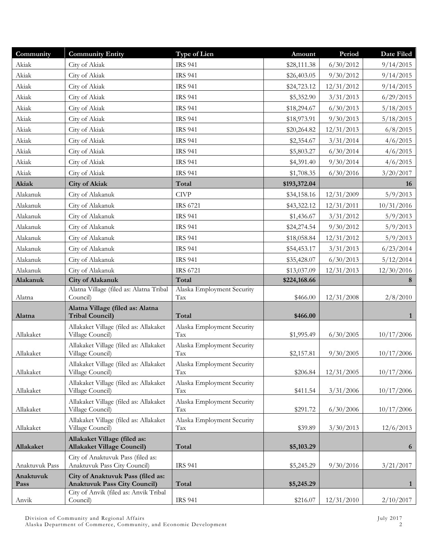| Community      | <b>Community Entity</b>                                                                  | Type of Lien                      | Amount                 | Period     | Date Filed                |
|----------------|------------------------------------------------------------------------------------------|-----------------------------------|------------------------|------------|---------------------------|
| Akiak          | City of Akiak                                                                            | <b>IRS 941</b>                    | \$28,111.38            | 6/30/2012  | 9/14/2015                 |
| Akiak          | City of Akiak                                                                            | <b>IRS 941</b>                    | \$26,403.05            | 9/30/2012  | 9/14/2015                 |
| Akiak          | City of Akiak                                                                            | <b>IRS 941</b>                    | \$24,723.12            | 12/31/2012 | 9/14/2015                 |
| Akiak          | City of Akiak                                                                            | <b>IRS 941</b>                    | \$5,352.90             | 3/31/2013  | 6/29/2015                 |
| Akiak          | City of Akiak                                                                            | <b>IRS 941</b>                    | \$18,294.67            | 6/30/2013  | 5/18/2015                 |
| Akiak          | City of Akiak                                                                            | <b>IRS 941</b>                    | \$18,973.91            | 9/30/2013  | 5/18/2015                 |
| Akiak          | City of Akiak                                                                            | <b>IRS 941</b>                    | \$20,264.82            | 12/31/2013 | 6/8/2015                  |
| Akiak          | City of Akiak                                                                            | <b>IRS 941</b>                    | \$2,354.67             | 3/31/2014  | 4/6/2015                  |
| Akiak          | City of Akiak                                                                            | <b>IRS 941</b>                    | \$5,803.27             | 6/30/2014  | 4/6/2015                  |
| Akiak          | City of Akiak                                                                            | <b>IRS 941</b>                    | \$4,391.40             | 9/30/2014  | 4/6/2015                  |
| Akiak          | City of Akiak                                                                            | <b>IRS 941</b>                    | \$1,708.35             | 6/30/2016  | 3/20/2017                 |
| Akiak          | <b>City of Akiak</b>                                                                     | Total                             | \$193,372.04           |            | <b>16</b>                 |
| Alakanuk       | City of Alakanuk                                                                         | <b>CIVP</b>                       | \$34,158.16            | 12/31/2009 | 5/9/2013                  |
| Alakanuk       | City of Alakanuk                                                                         | IRS 6721                          | \$43,322.12            | 12/31/2011 | 10/31/2016                |
| Alakanuk       | City of Alakanuk                                                                         | <b>IRS 941</b>                    | \$1,436.67             | 3/31/2012  | 5/9/2013                  |
| Alakanuk       | City of Alakanuk                                                                         | <b>IRS 941</b>                    | \$24,274.54            | 9/30/2012  | 5/9/2013                  |
| Alakanuk       | City of Alakanuk                                                                         | <b>IRS 941</b>                    | \$18,058.84            | 12/31/2012 | 5/9/2013                  |
| Alakanuk       | City of Alakanuk                                                                         | <b>IRS 941</b>                    | \$54,453.17            | 3/31/2013  | 6/23/2014                 |
| Alakanuk       | City of Alakanuk                                                                         | <b>IRS 941</b>                    | \$35,428.07            | 6/30/2013  | 5/12/2014                 |
| Alakanuk       | City of Alakanuk                                                                         | IRS 6721                          | \$13,037.09            | 12/31/2013 | 12/30/2016                |
|                |                                                                                          |                                   |                        |            |                           |
| Alakanuk       | <b>City of Alakanuk</b>                                                                  | Total                             | \$224,168.66           |            | 8                         |
|                | Alatna Village (filed as: Alatna Tribal                                                  | Alaska Employment Security        |                        |            |                           |
| Alatna         | Council)                                                                                 | Tax                               | \$466.00               | 12/31/2008 | 2/8/2010                  |
|                | Alatna Village (filed as: Alatna                                                         |                                   |                        |            |                           |
| Alatna         | <b>Tribal Council)</b>                                                                   | Total                             | \$466.00               |            | $\mathbf{1}$              |
| Allakaket      | Allakaket Village (filed as: Allakaket<br>Village Council)                               | Alaska Employment Security<br>Tax | \$1,995.49             | 6/30/2005  | 10/17/2006                |
|                | Allakaket Village (filed as: Allakaket                                                   | Alaska Employment Security        |                        |            |                           |
| Allakaket      | Village Council)                                                                         | Tax                               | \$2,157.81             | 9/30/2005  | 10/17/2006                |
|                | Allakaket Village (filed as: Allakaket                                                   | Alaska Employment Security        |                        |            |                           |
| Allakaket      | Village Council)                                                                         | Tax                               | \$206.84               | 12/31/2005 | 10/17/2006                |
| Allakaket      | Allakaket Village (filed as: Allakaket<br>Village Council)                               | Alaska Employment Security<br>Tax | \$411.54               | 3/31/2006  | 10/17/2006                |
|                | Allakaket Village (filed as: Allakaket                                                   | Alaska Employment Security        |                        |            |                           |
| Allakaket      | Village Council)                                                                         | Tax                               | \$291.72               | 6/30/2006  | 10/17/2006                |
| Allakaket      | Allakaket Village (filed as: Allakaket<br>Village Council)                               | Alaska Employment Security<br>Tax | \$39.89                | 3/30/2013  | 12/6/2013                 |
| Allakaket      | Allakaket Village (filed as:                                                             | Total                             |                        |            |                           |
|                | <b>Allakaket Village Council)</b>                                                        |                                   | \$5,103.29             |            | 6                         |
| Anaktuvuk Pass | City of Anaktuvuk Pass (filed as:<br>Anaktuvuk Pass City Council)                        | <b>IRS 941</b>                    | \$5,245.29             | 9/30/2016  | 3/21/2017                 |
| Anaktuvuk      | City of Anaktuvuk Pass (filed as:                                                        |                                   |                        |            |                           |
| Pass<br>Anvik  | <b>Anaktuvuk Pass City Council)</b><br>City of Anvik (filed as: Anvik Tribal<br>Council) | Total<br><b>IRS 941</b>           | \$5,245.29<br>\$216.07 | 12/31/2010 | $\mathbf{1}$<br>2/10/2017 |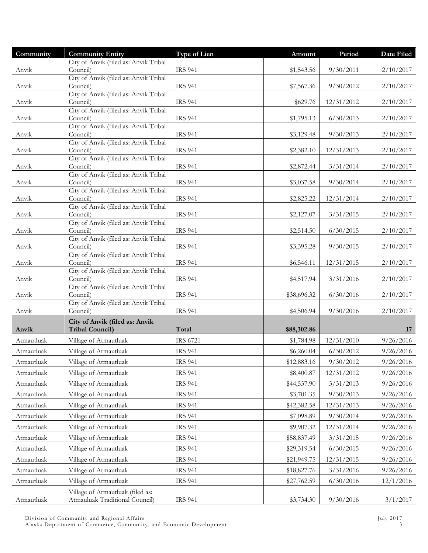| Community  | <b>Community Entity</b>                           | <b>Type of Lien</b> | Amount      | Period     | Date Filed |
|------------|---------------------------------------------------|---------------------|-------------|------------|------------|
|            | City of Anvik (filed as: Anvik Tribal             |                     |             |            |            |
| Anvik      | Council)<br>City of Anvik (filed as: Anvik Tribal | <b>IRS 941</b>      | \$1,543.56  | 9/30/2011  | 2/10/2017  |
| Anvik      | Council)                                          | <b>IRS 941</b>      | \$7,567.36  | 9/30/2012  | 2/10/2017  |
|            | City of Anvik (filed as: Anvik Tribal             |                     |             |            |            |
| Anvik      | Council)                                          | <b>IRS 941</b>      | \$629.76    | 12/31/2012 | 2/10/2017  |
| Anvik      | City of Anvik (filed as: Anvik Tribal<br>Council) | <b>IRS 941</b>      | \$1,795.13  | 6/30/2013  | 2/10/2017  |
|            | City of Anvik (filed as: Anvik Tribal             |                     |             |            |            |
| Anvik      | Council)                                          | <b>IRS 941</b>      | \$3,129.48  | 9/30/2013  | 2/10/2017  |
|            | City of Anvik (filed as: Anvik Tribal             |                     |             |            |            |
| Anvik      | Council)<br>City of Anvik (filed as: Anvik Tribal | <b>IRS 941</b>      | \$2,382.10  | 12/31/2013 | 2/10/2017  |
| Anvik      | Council)                                          | <b>IRS 941</b>      | \$2,872.44  | 3/31/2014  | 2/10/2017  |
|            | City of Anvik (filed as: Anvik Tribal             |                     |             |            |            |
| Anvik      | Council)<br>City of Anvik (filed as: Anvik Tribal | <b>IRS 941</b>      | \$3,037.58  | 9/30/2014  | 2/10/2017  |
| Anvik      | Council)                                          | <b>IRS 941</b>      | \$2,825.22  | 12/31/2014 | 2/10/2017  |
|            | City of Anvik (filed as: Anvik Tribal             |                     |             |            |            |
| Anvik      | Council)                                          | <b>IRS 941</b>      | \$2,127.07  | 3/31/2015  | 2/10/2017  |
|            | City of Anvik (filed as: Anvik Tribal             |                     |             |            |            |
| Anvik      | Council)<br>City of Anvik (filed as: Anvik Tribal | <b>IRS 941</b>      | \$2,514.50  | 6/30/2015  | 2/10/2017  |
| Anvik      | Council)                                          | <b>IRS 941</b>      | \$3,395.28  | 9/30/2015  | 2/10/2017  |
|            | City of Anvik (filed as: Anvik Tribal             |                     |             |            |            |
| Anvik      | Council)<br>City of Anvik (filed as: Anvik Tribal | <b>IRS 941</b>      | \$6,546.11  | 12/31/2015 | 2/10/2017  |
| Anvik      | Council)                                          | <b>IRS 941</b>      | \$4,517.94  | 3/31/2016  | 2/10/2017  |
|            | City of Anvik (filed as: Anvik Tribal             |                     |             |            |            |
| Anvik      | Council)                                          | <b>IRS 941</b>      | \$38,696.32 | 6/30/2016  | 2/10/2017  |
| Anvik      | City of Anvik (filed as: Anvik Tribal<br>Council) | <b>IRS 941</b>      | \$4,506.94  | 9/30/2016  | 2/10/2017  |
|            | City of Anvik (filed as: Anvik                    |                     |             |            |            |
| Anvik      | <b>Tribal Council)</b>                            | Total               | \$88,302.86 |            | 17         |
| Atmautluak | Village of Atmautluak                             | <b>IRS 6721</b>     | \$1,784.98  | 12/31/2010 | 9/26/2016  |
| Atmautluak | Village of Atmautluak                             | <b>IRS 941</b>      | \$6,260.04  | 6/30/2012  | 9/26/2016  |
| Atmautluak | Village of Atmautluak                             | <b>IRS 941</b>      | \$12,883.16 | 9/30/2012  | 9/26/2016  |
| Atmautluak | Village of Atmautluak                             | <b>IRS 941</b>      | \$8,400.87  | 12/31/2012 | 9/26/2016  |
| Atmautluak | Village of Atmautluak                             | <b>IRS 941</b>      | \$44,537.90 | 3/31/2013  | 9/26/2016  |
| Atmautluak | Village of Atmautluak                             | <b>IRS 941</b>      | \$3,701.35  | 9/30/2013  | 9/26/2016  |
| Atmautluak | Village of Atmautluak                             | <b>IRS 941</b>      | \$42,382.58 | 12/31/2013 | 9/26/2016  |
| Atmautluak | Village of Atmautluak                             | <b>IRS 941</b>      | \$7,098.89  | 9/30/2014  | 9/26/2016  |
| Atmautluak | Village of Atmautluak                             | <b>IRS 941</b>      | \$9,907.32  | 12/31/2014 | 9/26/2016  |
|            | Village of Atmautluak                             |                     |             |            |            |
| Atmautluak |                                                   | <b>IRS 941</b>      | \$58,837.49 | 3/31/2015  | 9/26/2016  |
| Atmautluak | Village of Atmautluak                             | <b>IRS 941</b>      | \$29,319.54 | 6/30/2015  | 9/26/2016  |
| Atmautluak | Village of Atmautluak                             | <b>IRS 941</b>      | \$21,949.75 | 12/31/2015 | 9/26/2016  |
| Atmautluak | Village of Atmautluak                             | <b>IRS 941</b>      | \$18,827.76 | 3/31/2016  | 9/26/2016  |
| Atmautluak | Village of Atmautluak                             | <b>IRS 941</b>      | \$27,762.59 | 6/30/2016  | 12/1/2016  |
|            | Village of Atmautluak (filed as:                  |                     |             |            |            |
| Atmautluak | Atmauluak Traditional Council)                    | <b>IRS 941</b>      | \$3,734.30  | 9/30/2016  | 3/1/2017   |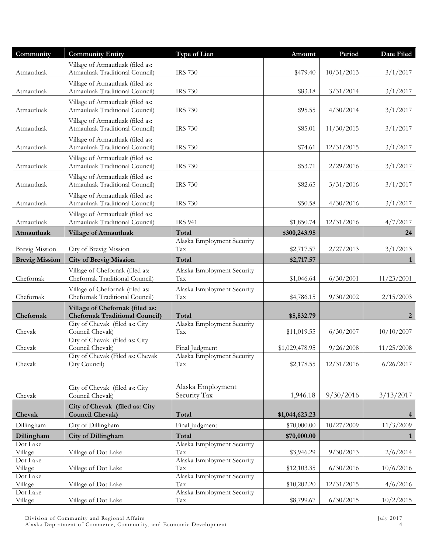| Community             | <b>Community Entity</b>                                                  | Type of Lien                      | Amount         | Period     | Date Filed     |
|-----------------------|--------------------------------------------------------------------------|-----------------------------------|----------------|------------|----------------|
| Atmautluak            | Village of Atmautluak (filed as:<br>Atmauluak Traditional Council)       | <b>IRS 730</b>                    | \$479.40       | 10/31/2013 | 3/1/2017       |
| Atmautluak            | Village of Atmautluak (filed as:<br>Atmauluak Traditional Council)       | <b>IRS 730</b>                    | \$83.18        | 3/31/2014  | 3/1/2017       |
| Atmautluak            | Village of Atmautluak (filed as:<br>Atmauluak Traditional Council)       | <b>IRS 730</b>                    | \$95.55        | 4/30/2014  | 3/1/2017       |
| Atmautluak            | Village of Atmautluak (filed as:<br>Atmauluak Traditional Council)       | <b>IRS 730</b>                    | \$85.01        | 11/30/2015 | 3/1/2017       |
| Atmautluak            | Village of Atmautluak (filed as:<br>Atmauluak Traditional Council)       | <b>IRS 730</b>                    | \$74.61        | 12/31/2015 | 3/1/2017       |
| Atmautluak            | Village of Atmautluak (filed as:<br>Atmauluak Traditional Council)       | <b>IRS 730</b>                    | \$53.71        | 2/29/2016  | 3/1/2017       |
| Atmautluak            | Village of Atmautluak (filed as:<br>Atmauluak Traditional Council)       | <b>IRS 730</b>                    | \$82.65        | 3/31/2016  | 3/1/2017       |
| Atmautluak            | Village of Atmautluak (filed as:<br>Atmauluak Traditional Council)       | <b>IRS 730</b>                    | \$50.58        | 4/30/2016  | 3/1/2017       |
| Atmautluak            | Village of Atmautluak (filed as:<br>Atmauluak Traditional Council)       | <b>IRS 941</b>                    | \$1,850.74     | 12/31/2016 | 4/7/2017       |
| Atmautluak            | <b>Village of Atmautluak</b>                                             | Total                             | \$300,243.95   |            | 24             |
| <b>Brevig Mission</b> | City of Brevig Mission                                                   | Alaska Employment Security<br>Tax | \$2,717.57     | 2/27/2013  | 3/1/2013       |
| <b>Brevig Mission</b> | <b>City of Brevig Mission</b>                                            | Total                             | \$2,717.57     |            | 1              |
| Chefornak             | Village of Chefornak (filed as:<br>Chefornak Traditional Council)        | Alaska Employment Security<br>Tax | \$1,046.64     | 6/30/2001  | 11/23/2001     |
| Chefornak             | Village of Chefornak (filed as:<br>Chefornak Traditional Council)        | Alaska Employment Security<br>Tax | \$4,786.15     | 9/30/2002  | 2/15/2003      |
| Chefornak             | Village of Chefornak (filed as:<br><b>Chefornak Traditional Council)</b> | Total                             | \$5,832.79     |            | 2              |
| Chevak                | City of Chevak (filed as: City<br>Council Chevak)                        | Alaska Employment Security<br>Tax | \$11,019.55    | 6/30/2007  | 10/10/2007     |
| Chevak                | City of Chevak (filed as: City<br>Council Chevak)                        | Final Judgment                    | \$1,029,478.95 | 9/26/2008  | 11/25/2008     |
| Chevak                | City of Chevak (Filed as: Chevak<br>City Council)                        | Alaska Employment Security<br>Tax | \$2,178.55     | 12/31/2016 | 6/26/2017      |
|                       |                                                                          |                                   |                |            |                |
| Chevak                | City of Chevak (filed as: City<br>Council Chevak)                        | Alaska Employment<br>Security Tax | 1,946.18       | 9/30/2016  | 3/13/2017      |
| Chevak                | City of Chevak (filed as: City<br><b>Council Chevak)</b>                 | Total                             | \$1,044,623.23 |            | $\overline{4}$ |
| Dillingham            | City of Dillingham                                                       | Final Judgment                    | \$70,000.00    | 10/27/2009 | 11/3/2009      |
| Dillingham            | <b>City of Dillingham</b>                                                | Total                             | \$70,000.00    |            | 1              |
| Dot Lake<br>Village   | Village of Dot Lake                                                      | Alaska Employment Security<br>Tax | \$3,946.29     | 9/30/2013  | 2/6/2014       |
| Dot Lake<br>Village   | Village of Dot Lake                                                      | Alaska Employment Security<br>Tax | \$12,103.35    | 6/30/2016  | 10/6/2016      |
| Dot Lake<br>Village   | Village of Dot Lake                                                      | Alaska Employment Security<br>Tax | \$10,202.20    | 12/31/2015 | 4/6/2016       |
| Dot Lake<br>Village   | Village of Dot Lake                                                      | Alaska Employment Security<br>Tax | \$8,799.67     | 6/30/2015  | 10/2/2015      |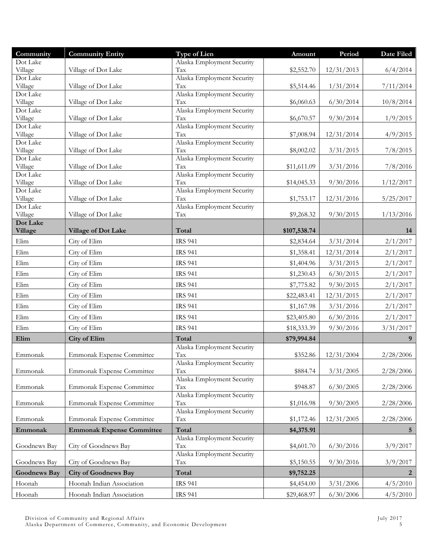| Community           | <b>Community Entity</b>          | <b>Type of Lien</b>               | Amount       | Period     | Date Filed  |
|---------------------|----------------------------------|-----------------------------------|--------------|------------|-------------|
| Dot Lake            |                                  | Alaska Employment Security        |              |            |             |
| Village<br>Dot Lake | Village of Dot Lake              | Tax<br>Alaska Employment Security | \$2,552.70   | 12/31/2013 | 6/4/2014    |
| Village             | Village of Dot Lake              | Tax                               | \$5,514.46   | 1/31/2014  | 7/11/2014   |
| Dot Lake            |                                  | Alaska Employment Security        |              |            |             |
| Village             | Village of Dot Lake              | Tax                               | \$6,060.63   | 6/30/2014  | 10/8/2014   |
| Dot Lake<br>Village | Village of Dot Lake              | Alaska Employment Security<br>Tax | \$6,670.57   | 9/30/2014  | 1/9/2015    |
| Dot Lake            |                                  | Alaska Employment Security        |              |            |             |
| Village             | Village of Dot Lake              | Tax                               | \$7,008.94   | 12/31/2014 | 4/9/2015    |
| Dot Lake            |                                  | Alaska Employment Security        |              |            |             |
| Village<br>Dot Lake | Village of Dot Lake              | Tax<br>Alaska Employment Security | \$8,002.02   | 3/31/2015  | 7/8/2015    |
| Village             | Village of Dot Lake              | Tax                               | \$11,611.09  | 3/31/2016  | 7/8/2016    |
| Dot Lake            |                                  | Alaska Employment Security        |              |            |             |
| Village             | Village of Dot Lake              | Tax                               | \$14,045.33  | 9/30/2016  | 1/12/2017   |
| Dot Lake<br>Village | Village of Dot Lake              | Alaska Employment Security<br>Tax | \$1,753.17   | 12/31/2016 | 5/25/2017   |
| Dot Lake            |                                  | Alaska Employment Security        |              |            |             |
| Village             | Village of Dot Lake              | Tax                               | \$9,268.32   | 9/30/2015  | 1/13/2016   |
| Dot Lake            |                                  |                                   |              |            |             |
| Village             | Village of Dot Lake              | Total                             | \$107,538.74 |            | 14          |
| Elim                | City of Elim                     | <b>IRS 941</b>                    | \$2,834.64   | 3/31/2014  | 2/1/2017    |
| Elim                | City of Elim                     | <b>IRS 941</b>                    | \$1,358.41   | 12/31/2014 | 2/1/2017    |
| Elim                | City of Elim                     | <b>IRS 941</b>                    | \$1,404.96   | 3/31/2015  | 2/1/2017    |
| Elim                | City of Elim                     | <b>IRS 941</b>                    | \$1,230.43   | 6/30/2015  | 2/1/2017    |
| Elim                | City of Elim                     | <b>IRS 941</b>                    | \$7,775.82   | 9/30/2015  | 2/1/2017    |
| Elim                | City of Elim                     | <b>IRS 941</b>                    | \$22,483.41  | 12/31/2015 | 2/1/2017    |
| Elim                | City of Elim                     | <b>IRS 941</b>                    | \$1,167.98   | 3/31/2016  | 2/1/2017    |
| Elim                | City of Elim                     | <b>IRS 941</b>                    | \$23,405.80  | 6/30/2016  | 2/1/2017    |
| Elim                | City of Elim                     | <b>IRS 941</b>                    | \$18,333.39  | 9/30/2016  | 3/31/2017   |
| Elim                | <b>City of Elim</b>              | Total                             | \$79,994.84  |            | 9           |
|                     |                                  | Alaska Employment Security        |              |            |             |
| Emmonak             | Emmonak Expense Committee        | Tax                               | \$352.86     | 12/31/2004 | 2/28/2006   |
| Emmonak             |                                  | Alaska Employment Security<br>Tax | \$884.74     | 3/31/2005  | 2/28/2006   |
|                     | Emmonak Expense Committee        | Alaska Employment Security        |              |            |             |
| Emmonak             | Emmonak Expense Committee        | Tax                               | \$948.87     | 6/30/2005  | 2/28/2006   |
|                     |                                  | Alaska Employment Security        |              |            |             |
| Emmonak             | Emmonak Expense Committee        | Tax                               | \$1,016.98   | 9/30/2005  | 2/28/2006   |
| Emmonak             | <b>Emmonak Expense Committee</b> | Alaska Employment Security<br>Tax | \$1,172.46   | 12/31/2005 | 2/28/2006   |
| Emmonak             | <b>Emmonak Expense Committee</b> | Total                             | \$4,375.91   |            | $5^{\circ}$ |
|                     |                                  | Alaska Employment Security        |              |            |             |
| Goodnews Bay        | City of Goodnews Bay             | Tax                               | \$4,601.70   | 6/30/2016  | 3/9/2017    |
|                     |                                  | Alaska Employment Security        |              |            |             |
| Goodnews Bay        | City of Goodnews Bay             | Tax                               | \$5,150.55   | 9/30/2016  | 3/9/2017    |
| <b>Goodnews Bay</b> | <b>City of Goodnews Bay</b>      | Total                             | \$9,752.25   |            | 2           |
| Hoonah              | Hoonah Indian Association        | <b>IRS 941</b>                    | \$4,454.00   | 3/31/2006  | 4/5/2010    |
| Hoonah              | Hoonah Indian Association        | <b>IRS 941</b>                    | \$29,468.97  | 6/30/2006  | 4/5/2010    |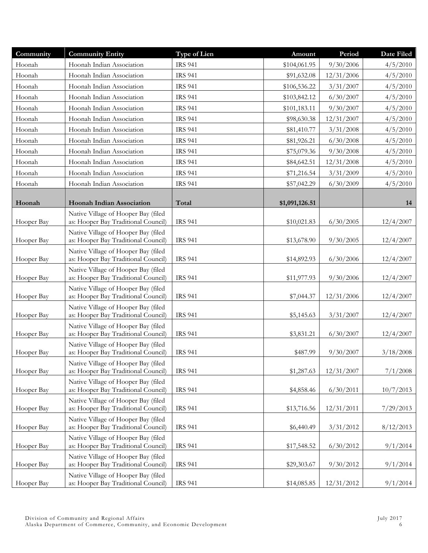| Community  | <b>Community Entity</b>                                                    | Type of Lien   | Amount         | Period     | Date Filed |
|------------|----------------------------------------------------------------------------|----------------|----------------|------------|------------|
| Hoonah     | Hoonah Indian Association                                                  | <b>IRS 941</b> | \$104,061.95   | 9/30/2006  | 4/5/2010   |
| Hoonah     | Hoonah Indian Association                                                  | <b>IRS 941</b> | \$91,632.08    | 12/31/2006 | 4/5/2010   |
| Hoonah     | Hoonah Indian Association                                                  | <b>IRS 941</b> | \$106,536.22   | 3/31/2007  | 4/5/2010   |
| Hoonah     | Hoonah Indian Association                                                  | <b>IRS 941</b> | \$103,842.12   | 6/30/2007  | 4/5/2010   |
| Hoonah     | Hoonah Indian Association                                                  | <b>IRS 941</b> | \$101,183.11   | 9/30/2007  | 4/5/2010   |
| Hoonah     | Hoonah Indian Association                                                  | <b>IRS 941</b> | \$98,630.38    | 12/31/2007 | 4/5/2010   |
| Hoonah     | Hoonah Indian Association                                                  | <b>IRS 941</b> | \$81,410.77    | 3/31/2008  | 4/5/2010   |
| Hoonah     | Hoonah Indian Association                                                  | <b>IRS 941</b> | \$81,926.21    | 6/30/2008  | 4/5/2010   |
| Hoonah     | Hoonah Indian Association                                                  | <b>IRS 941</b> | \$75,079.36    | 9/30/2008  | 4/5/2010   |
| Hoonah     | Hoonah Indian Association                                                  | <b>IRS 941</b> | \$84,642.51    | 12/31/2008 | 4/5/2010   |
| Hoonah     | Hoonah Indian Association                                                  | <b>IRS 941</b> | \$71,216.54    | 3/31/2009  | 4/5/2010   |
| Hoonah     | Hoonah Indian Association                                                  | <b>IRS 941</b> | \$57,042.29    | 6/30/2009  | 4/5/2010   |
|            |                                                                            |                |                |            |            |
| Hoonah     | <b>Hoonah Indian Association</b>                                           | Total          | \$1,091,126.51 |            | 14         |
| Hooper Bay | Native Village of Hooper Bay (filed<br>as: Hooper Bay Traditional Council) | <b>IRS 941</b> | \$10,021.83    | 6/30/2005  | 12/4/2007  |
| Hooper Bay | Native Village of Hooper Bay (filed<br>as: Hooper Bay Traditional Council) | <b>IRS 941</b> | \$13,678.90    | 9/30/2005  | 12/4/2007  |
| Hooper Bay | Native Village of Hooper Bay (filed<br>as: Hooper Bay Traditional Council) | <b>IRS 941</b> | \$14,892.93    | 6/30/2006  | 12/4/2007  |
| Hooper Bay | Native Village of Hooper Bay (filed<br>as: Hooper Bay Traditional Council) | <b>IRS 941</b> | \$11,977.93    | 9/30/2006  | 12/4/2007  |
| Hooper Bay | Native Village of Hooper Bay (filed<br>as: Hooper Bay Traditional Council) | <b>IRS 941</b> | \$7,044.37     | 12/31/2006 | 12/4/2007  |
| Hooper Bay | Native Village of Hooper Bay (filed<br>as: Hooper Bay Traditional Council) | <b>IRS 941</b> | \$5,145.63     | 3/31/2007  | 12/4/2007  |
| Hooper Bay | Native Village of Hooper Bay (filed<br>as: Hooper Bay Traditional Council) | <b>IRS 941</b> | \$3,831.21     | 6/30/2007  | 12/4/2007  |
| Hooper Bay | Native Village of Hooper Bay (filed<br>as: Hooper Bay Traditional Council) | <b>IRS 941</b> | \$487.99       | 9/30/2007  | 3/18/2008  |
| Hooper Bay | Native Village of Hooper Bay (filed<br>as: Hooper Bay Traditional Council) | <b>IRS 941</b> | \$1,287.63     | 12/31/2007 | 7/1/2008   |
| Hooper Bay | Native Village of Hooper Bay (filed<br>as: Hooper Bay Traditional Council) | <b>IRS 941</b> | \$4,858.46     | 6/30/2011  | 10/7/2013  |
| Hooper Bay | Native Village of Hooper Bay (filed<br>as: Hooper Bay Traditional Council) | <b>IRS 941</b> | \$13,716.56    | 12/31/2011 | 7/29/2013  |
| Hooper Bay | Native Village of Hooper Bay (filed<br>as: Hooper Bay Traditional Council) | <b>IRS 941</b> | \$6,440.49     | 3/31/2012  | 8/12/2013  |
| Hooper Bay | Native Village of Hooper Bay (filed<br>as: Hooper Bay Traditional Council) | <b>IRS 941</b> | \$17,548.52    | 6/30/2012  | 9/1/2014   |
| Hooper Bay | Native Village of Hooper Bay (filed<br>as: Hooper Bay Traditional Council) | <b>IRS 941</b> | \$29,303.67    | 9/30/2012  | 9/1/2014   |
| Hooper Bay | Native Village of Hooper Bay (filed<br>as: Hooper Bay Traditional Council) | <b>IRS 941</b> | \$14,085.85    | 12/31/2012 | 9/1/2014   |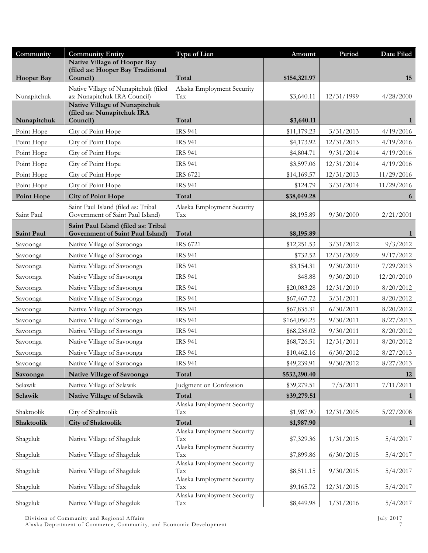| Community            | <b>Community Entity</b>                                            | Type of Lien                      | Amount                      | Period                  | Date Filed             |
|----------------------|--------------------------------------------------------------------|-----------------------------------|-----------------------------|-------------------------|------------------------|
|                      | <b>Native Village of Hooper Bay</b>                                |                                   |                             |                         |                        |
| <b>Hooper Bay</b>    | (filed as: Hooper Bay Traditional<br>Council)                      | Total                             | \$154,321.97                |                         | 15                     |
|                      | Native Village of Nunapitchuk (filed                               | Alaska Employment Security        |                             |                         |                        |
| Nunapitchuk          | as: Nunapitchuk IRA Council)                                       | Tax                               | \$3,640.11                  | 12/31/1999              | 4/28/2000              |
|                      | <b>Native Village of Nunapitchuk</b><br>(filed as: Nunapitchuk IRA |                                   |                             |                         |                        |
| Nunapitchuk          | Council)                                                           | Total                             | \$3,640.11                  |                         | 1                      |
| Point Hope           | City of Point Hope                                                 | <b>IRS 941</b>                    | \$11,179.23                 | 3/31/2013               | 4/19/2016              |
| Point Hope           | City of Point Hope                                                 | <b>IRS 941</b>                    | \$4,173.92                  | 12/31/2013              | 4/19/2016              |
| Point Hope           | City of Point Hope                                                 | <b>IRS 941</b>                    | \$4,804.71                  | 9/31/2014               | 4/19/2016              |
| Point Hope           | City of Point Hope                                                 | <b>IRS 941</b>                    | \$3,597.06                  | 12/31/2014              | 4/19/2016              |
| Point Hope           | City of Point Hope                                                 | <b>IRS 6721</b>                   | \$14,169.57                 | 12/31/2013              | 11/29/2016             |
| Point Hope           | City of Point Hope                                                 | <b>IRS 941</b>                    | \$124.79                    | 3/31/2014               | 11/29/2016             |
| <b>Point Hope</b>    | <b>City of Point Hope</b>                                          | Total                             | \$38,049.28                 |                         | 6                      |
|                      | Saint Paul Island (filed as: Tribal                                | Alaska Employment Security        |                             |                         |                        |
| Saint Paul           | Government of Saint Paul Island)                                   | Tax                               | \$8,195.89                  | 9/30/2000               | 2/21/2001              |
|                      | Saint Paul Island (filed as: Tribal                                |                                   |                             |                         |                        |
| Saint Paul           | Government of Saint Paul Island)                                   | Total<br>IRS 6721                 | \$8,195.89                  |                         | 1                      |
| Savoonga             | Native Village of Savoonga<br>Native Village of Savoonga           | <b>IRS 941</b>                    | \$12,251.53                 | 3/31/2012               | 9/3/2012               |
| Savoonga             |                                                                    | <b>IRS 941</b>                    | \$732.52                    | 12/31/2009              | 9/17/2012              |
| Savoonga             | Native Village of Savoonga                                         | <b>IRS 941</b>                    | \$3,154.31                  | 9/30/2010               | 7/29/2013              |
| Savoonga             | Native Village of Savoonga                                         | <b>IRS 941</b>                    | \$48.88                     | 9/30/2010               | 12/20/2010             |
| Savoonga             | Native Village of Savoonga<br>Native Village of Savoonga           | <b>IRS 941</b>                    | \$20,083.28                 | 12/31/2010<br>3/31/2011 | 8/20/2012<br>8/20/2012 |
| Savoonga             |                                                                    |                                   | \$67,467.72                 |                         |                        |
| Savoonga             | Native Village of Savoonga                                         | <b>IRS 941</b><br><b>IRS 941</b>  | \$67,835.31                 | 6/30/2011               | 8/20/2012              |
| Savoonga             | Native Village of Savoonga<br>Native Village of Savoonga           | <b>IRS 941</b>                    | \$164,050.25<br>\$68,238.02 | 9/30/2011<br>9/30/2011  | 8/27/2013<br>8/20/2012 |
| Savoonga             | Native Village of Savoonga                                         | <b>IRS 941</b>                    |                             | 12/31/2011              |                        |
| Savoonga<br>Savoonga | Native Village of Savoonga                                         | <b>IRS 941</b>                    | \$68,726.51<br>\$10,462.16  | 6/30/2012               | 8/20/2012<br>8/27/2013 |
| Savoonga             | Native Village of Savoonga                                         | <b>IRS 941</b>                    | \$49,239.91                 | 9/30/2012               | 8/27/2013              |
| Savoonga             | <b>Native Village of Savoonga</b>                                  | Total                             | \$532,290.40                |                         | 12                     |
| Selawik              | Native Village of Selawik                                          | Judgment on Confession            | \$39,279.51                 | 7/5/2011                | 7/11/2011              |
| Selawik              | Native Village of Selawik                                          | Total                             | \$39,279.51                 |                         | $\mathbf{1}$           |
|                      |                                                                    | Alaska Employment Security        |                             |                         |                        |
| Shaktoolik           | City of Shaktoolik                                                 | Tax                               | \$1,987.90                  | 12/31/2005              | 5/27/2008              |
| Shaktoolik           | <b>City of Shaktoolik</b>                                          | Total                             | \$1,987.90                  |                         | $\mathbf{1}$           |
| Shageluk             | Native Village of Shageluk                                         | Alaska Employment Security<br>Tax | \$7,329.36                  | 1/31/2015               | 5/4/2017               |
|                      |                                                                    | Alaska Employment Security        |                             |                         |                        |
| Shageluk             | Native Village of Shageluk                                         | Tax                               | \$7,899.86                  | 6/30/2015               | 5/4/2017               |
| Shageluk             | Native Village of Shageluk                                         | Alaska Employment Security<br>Tax | \$8,511.15                  | 9/30/2015               | 5/4/2017               |
|                      |                                                                    | Alaska Employment Security        |                             |                         |                        |
| Shageluk             | Native Village of Shageluk                                         | Tax                               | \$9,165.72                  | 12/31/2015              | 5/4/2017               |
| Shageluk             | Native Village of Shageluk                                         | Alaska Employment Security<br>Tax | \$8,449.98                  | 1/31/2016               | 5/4/2017               |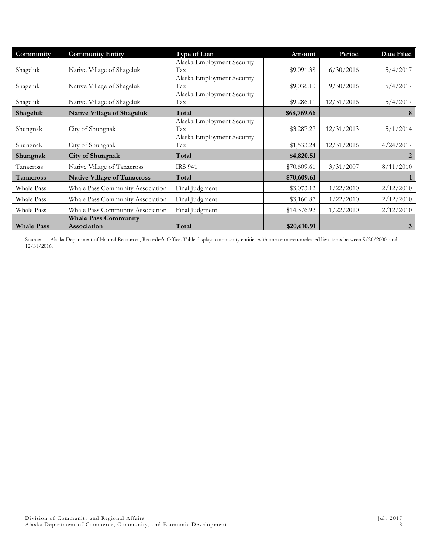| Community         | <b>Community Entity</b>            | <b>Type of Lien</b>        | Amount      | Period     | Date Filed |
|-------------------|------------------------------------|----------------------------|-------------|------------|------------|
|                   |                                    | Alaska Employment Security |             |            |            |
| Shageluk          | Native Village of Shageluk         | Tax                        | \$9,091.38  | 6/30/2016  | 5/4/2017   |
|                   |                                    | Alaska Employment Security |             |            |            |
| Shageluk          | Native Village of Shageluk         | Tax                        | \$9,036.10  | 9/30/2016  | 5/4/2017   |
|                   |                                    | Alaska Employment Security |             |            |            |
| Shageluk          | Native Village of Shageluk         | Tax                        | \$9,286.11  | 12/31/2016 | 5/4/2017   |
| Shageluk          | <b>Native Village of Shageluk</b>  | Total                      | \$68,769.66 |            | 8          |
|                   |                                    | Alaska Employment Security |             |            |            |
| Shungnak          | City of Shungnak                   | Tax                        | \$3,287.27  | 12/31/2013 | 5/1/2014   |
|                   |                                    | Alaska Employment Security |             |            |            |
| Shungnak          | City of Shungnak                   | Tax                        | \$1,533.24  | 12/31/2016 | 4/24/2017  |
| Shungnak          | City of Shungnak                   | Total                      | \$4,820.51  |            | 2          |
| Tanacross         | Native Village of Tanacross        | <b>IRS 941</b>             | \$70,609.61 | 3/31/2007  | 8/11/2010  |
| Tanacross         | <b>Native Village of Tanacross</b> | Total                      | \$70,609.61 |            |            |
| Whale Pass        | Whale Pass Community Association   | Final Judgment             | \$3,073.12  | 1/22/2010  | 2/12/2010  |
| Whale Pass        | Whale Pass Community Association   | Final Judgment             | \$3,160.87  | 1/22/2010  | 2/12/2010  |
| Whale Pass        | Whale Pass Community Association   | Final Judgment             | \$14,376.92 | 1/22/2010  | 2/12/2010  |
|                   | <b>Whale Pass Community</b>        |                            |             |            |            |
| <b>Whale Pass</b> | Association                        | Total                      | \$20,610.91 |            | 3          |

Source: Alaska Department of Natural Resources, Recorder's Office. Table displays community entities with one or more unreleased lien items between 9/20/2000 and 12/31/2016.